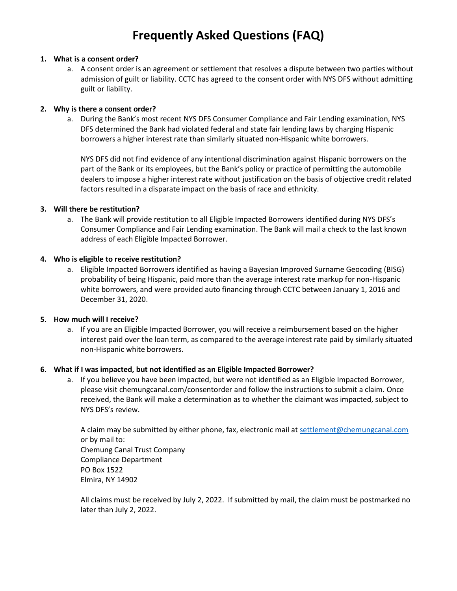## **Frequently Asked Questions (FAQ)**

#### **1. What is a consent order?**

a. A consent order is an agreement or settlement that resolves a dispute between two parties without admission of guilt or liability. CCTC has agreed to the consent order with NYS DFS without admitting guilt or liability.

#### **2. Why is there a consent order?**

a. During the Bank's most recent NYS DFS Consumer Compliance and Fair Lending examination, NYS DFS determined the Bank had violated federal and state fair lending laws by charging Hispanic borrowers a higher interest rate than similarly situated non-Hispanic white borrowers.

NYS DFS did not find evidence of any intentional discrimination against Hispanic borrowers on the part of the Bank or its employees, but the Bank's policy or practice of permitting the automobile dealers to impose a higher interest rate without justification on the basis of objective credit related factors resulted in a disparate impact on the basis of race and ethnicity.

#### **3. Will there be restitution?**

a. The Bank will provide restitution to all Eligible Impacted Borrowers identified during NYS DFS's Consumer Compliance and Fair Lending examination. The Bank will mail a check to the last known address of each Eligible Impacted Borrower.

#### **4. Who is eligible to receive restitution?**

a. Eligible Impacted Borrowers identified as having a Bayesian Improved Surname Geocoding (BISG) probability of being Hispanic, paid more than the average interest rate markup for non-Hispanic white borrowers, and were provided auto financing through CCTC between January 1, 2016 and December 31, 2020.

#### **5. How much will I receive?**

a. If you are an Eligible Impacted Borrower, you will receive a reimbursement based on the higher interest paid over the loan term, as compared to the average interest rate paid by similarly situated non-Hispanic white borrowers.

#### **6. What if I was impacted, but not identified as an Eligible Impacted Borrower?**

a. If you believe you have been impacted, but were not identified as an Eligible Impacted Borrower, please visit chemungcanal.com/consentorder and follow the instructions to submit a claim. Once received, the Bank will make a determination as to whether the claimant was impacted, subject to NYS DFS's review.

A claim may be submitted by either phone, fax, electronic mail a[t settlement@chemungcanal.com](mailto:settlement@chemungcanal.com) or by mail to: Chemung Canal Trust Company Compliance Department PO Box 1522 Elmira, NY 14902

All claims must be received by July 2, 2022. If submitted by mail, the claim must be postmarked no later than July 2, 2022.